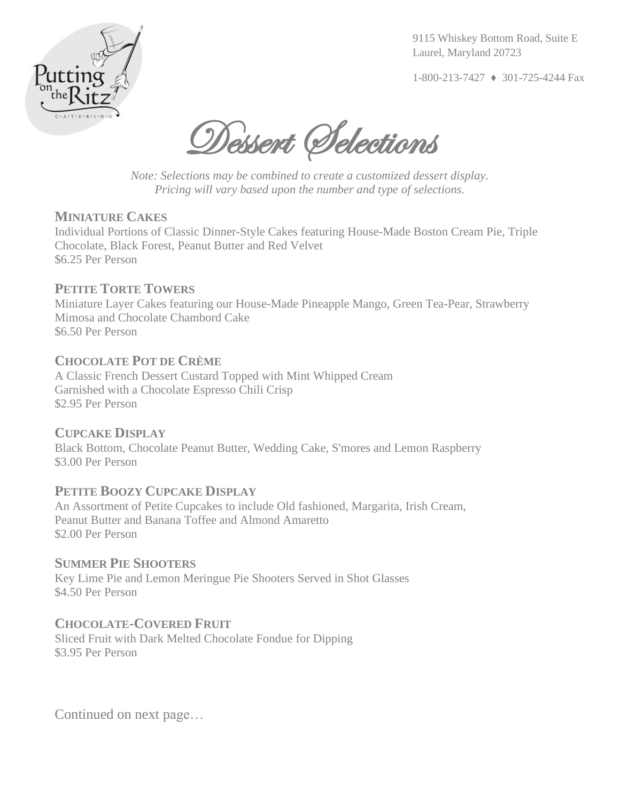

9115 Whiskey Bottom Road, Suite E Laurel, Maryland 20723

1-800-213-7427 ♦ 301-725-4244 Fax

Dessert Selections

*Note: Selections may be combined to create a customized dessert display. Pricing will vary based upon the number and type of selections.*

## **MINIATURE CAKES**

Individual Portions of Classic Dinner-Style Cakes featuring House-Made Boston Cream Pie, Triple Chocolate, Black Forest, Peanut Butter and Red Velvet \$6.25 Per Person

# **PETITE TORTE TOWERS**

Miniature Layer Cakes featuring our House-Made Pineapple Mango, Green Tea-Pear, Strawberry Mimosa and Chocolate Chambord Cake \$6.50 Per Person

# **CHOCOLATE POT DE CRÈME**

A Classic French Dessert Custard Topped with Mint Whipped Cream Garnished with a Chocolate Espresso Chili Crisp \$2.95 Per Person

### **CUPCAKE DISPLAY**

Black Bottom, Chocolate Peanut Butter, Wedding Cake, S'mores and Lemon Raspberry \$3.00 Per Person

# **PETITE BOOZY CUPCAKE DISPLAY**

An Assortment of Petite Cupcakes to include Old fashioned, Margarita, Irish Cream, Peanut Butter and Banana Toffee and Almond Amaretto \$2.00 Per Person

### **SUMMER PIE SHOOTERS**

Key Lime Pie and Lemon Meringue Pie Shooters Served in Shot Glasses \$4.50 Per Person

# **CHOCOLATE-COVERED FRUIT**

Sliced Fruit with Dark Melted Chocolate Fondue for Dipping \$3.95 Per Person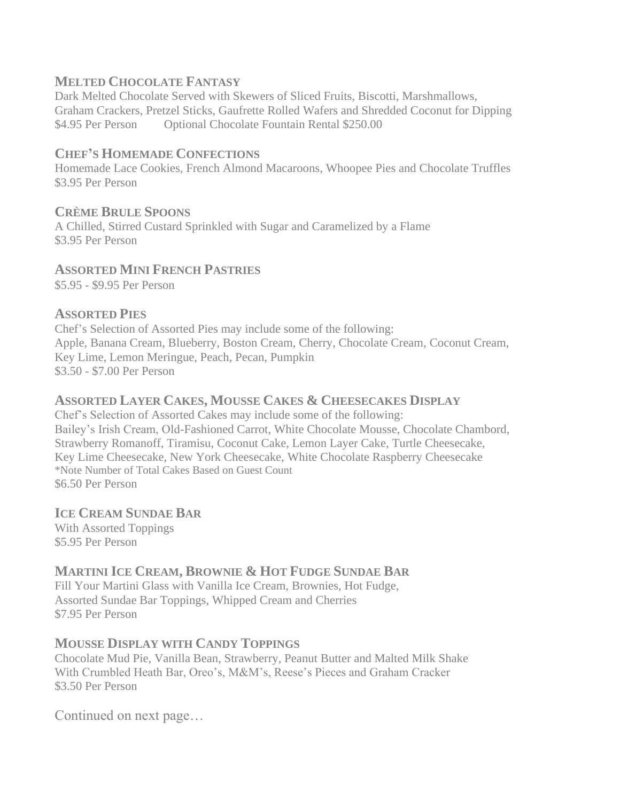# **MELTED CHOCOLATE FANTASY**

Dark Melted Chocolate Served with Skewers of Sliced Fruits, Biscotti, Marshmallows, Graham Crackers, Pretzel Sticks, Gaufrette Rolled Wafers and Shredded Coconut for Dipping \$4.95 Per Person Optional Chocolate Fountain Rental \$250.00

## **CHEF'S HOMEMADE CONFECTIONS**

Homemade Lace Cookies, French Almond Macaroons, Whoopee Pies and Chocolate Truffles \$3.95 Per Person

# **CRÈME BRULE SPOONS**

A Chilled, Stirred Custard Sprinkled with Sugar and Caramelized by a Flame \$3.95 Per Person

# **ASSORTED MINI FRENCH PASTRIES**

\$5.95 - \$9.95 Per Person

## **ASSORTED PIES**

Chef's Selection of Assorted Pies may include some of the following: Apple, Banana Cream, Blueberry, Boston Cream, Cherry, Chocolate Cream, Coconut Cream, Key Lime, Lemon Meringue, Peach, Pecan, Pumpkin \$3.50 - \$7.00 Per Person

## **ASSORTED LAYER CAKES, MOUSSE CAKES & CHEESECAKES DISPLAY**

Chef's Selection of Assorted Cakes may include some of the following: Bailey's Irish Cream, Old-Fashioned Carrot, White Chocolate Mousse, Chocolate Chambord, Strawberry Romanoff, Tiramisu, Coconut Cake, Lemon Layer Cake, Turtle Cheesecake, Key Lime Cheesecake, New York Cheesecake, White Chocolate Raspberry Cheesecake \*Note Number of Total Cakes Based on Guest Count \$6.50 Per Person

# **ICE CREAM SUNDAE BAR**

With Assorted Toppings \$5.95 Per Person

# **MARTINI ICE CREAM, BROWNIE & HOT FUDGE SUNDAE BAR**

Fill Your Martini Glass with Vanilla Ice Cream, Brownies, Hot Fudge, Assorted Sundae Bar Toppings, Whipped Cream and Cherries \$7.95 Per Person

### **MOUSSE DISPLAY WITH CANDY TOPPINGS**

Chocolate Mud Pie, Vanilla Bean, Strawberry, Peanut Butter and Malted Milk Shake With Crumbled Heath Bar, Oreo's, M&M's, Reese's Pieces and Graham Cracker \$3.50 Per Person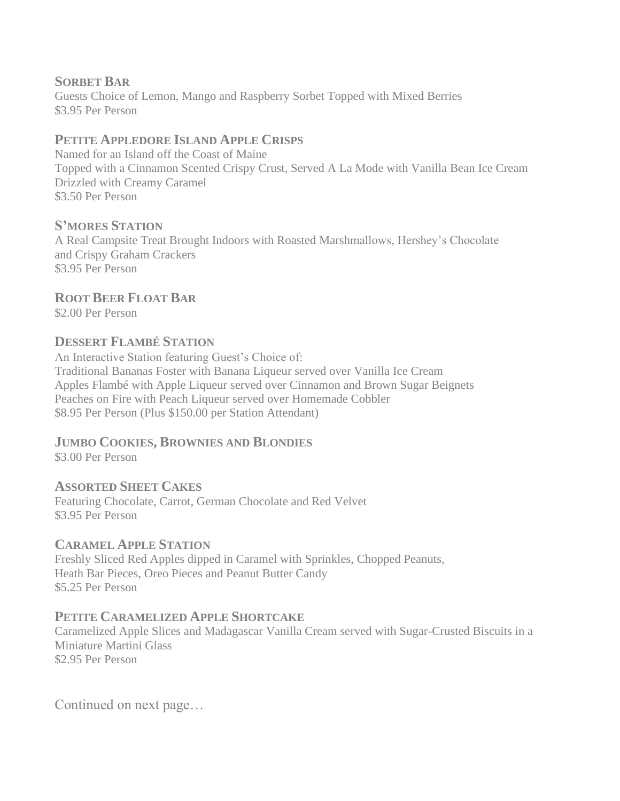# **SORBET BAR**

Guests Choice of Lemon, Mango and Raspberry Sorbet Topped with Mixed Berries \$3.95 Per Person

# **PETITE APPLEDORE ISLAND APPLE CRISPS**

Named for an Island off the Coast of Maine Topped with a Cinnamon Scented Crispy Crust, Served A La Mode with Vanilla Bean Ice Cream Drizzled with Creamy Caramel \$3.50 Per Person

# **S'MORES STATION**

A Real Campsite Treat Brought Indoors with Roasted Marshmallows, Hershey's Chocolate and Crispy Graham Crackers \$3.95 Per Person

# **ROOT BEER FLOAT BAR**

\$2.00 Per Person

# **DESSERT FLAMBÉ STATION**

An Interactive Station featuring Guest's Choice of: Traditional Bananas Foster with Banana Liqueur served over Vanilla Ice Cream Apples Flambé with Apple Liqueur served over Cinnamon and Brown Sugar Beignets Peaches on Fire with Peach Liqueur served over Homemade Cobbler \$8.95 Per Person (Plus \$150.00 per Station Attendant)

# **JUMBO COOKIES, BROWNIES AND BLONDIES**

\$3.00 Per Person

# **ASSORTED SHEET CAKES**

Featuring Chocolate, Carrot, German Chocolate and Red Velvet \$3.95 Per Person

# **CARAMEL APPLE STATION**

Freshly Sliced Red Apples dipped in Caramel with Sprinkles, Chopped Peanuts, Heath Bar Pieces, Oreo Pieces and Peanut Butter Candy \$5.25 Per Person

# **PETITE CARAMELIZED APPLE SHORTCAKE**

Caramelized Apple Slices and Madagascar Vanilla Cream served with Sugar-Crusted Biscuits in a Miniature Martini Glass \$2.95 Per Person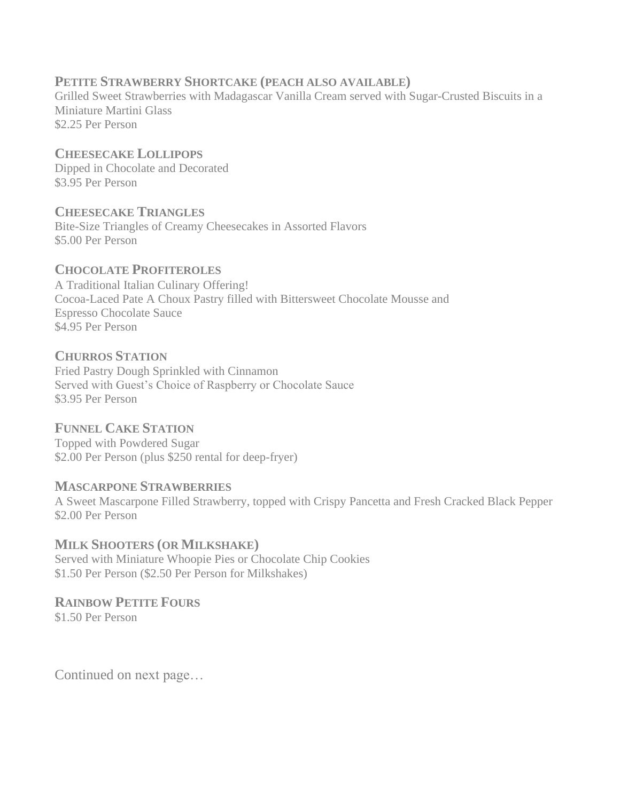# **PETITE STRAWBERRY SHORTCAKE (PEACH ALSO AVAILABLE)**

Grilled Sweet Strawberries with Madagascar Vanilla Cream served with Sugar-Crusted Biscuits in a Miniature Martini Glass \$2.25 Per Person

# **CHEESECAKE LOLLIPOPS** Dipped in Chocolate and Decorated

\$3.95 Per Person

## **CHEESECAKE TRIANGLES**

Bite-Size Triangles of Creamy Cheesecakes in Assorted Flavors \$5.00 Per Person

## **CHOCOLATE PROFITEROLES**

A Traditional Italian Culinary Offering! Cocoa-Laced Pate A Choux Pastry filled with Bittersweet Chocolate Mousse and Espresso Chocolate Sauce \$4.95 Per Person

### **CHURROS STATION**

Fried Pastry Dough Sprinkled with Cinnamon Served with Guest's Choice of Raspberry or Chocolate Sauce \$3.95 Per Person

# **FUNNEL CAKE STATION**

Topped with Powdered Sugar \$2.00 Per Person (plus \$250 rental for deep-fryer)

### **MASCARPONE STRAWBERRIES**

A Sweet Mascarpone Filled Strawberry, topped with Crispy Pancetta and Fresh Cracked Black Pepper \$2.00 Per Person

### **MILK SHOOTERS (OR MILKSHAKE)**

Served with Miniature Whoopie Pies or Chocolate Chip Cookies \$1.50 Per Person (\$2.50 Per Person for Milkshakes)

### **RAINBOW PETITE FOURS**

\$1.50 Per Person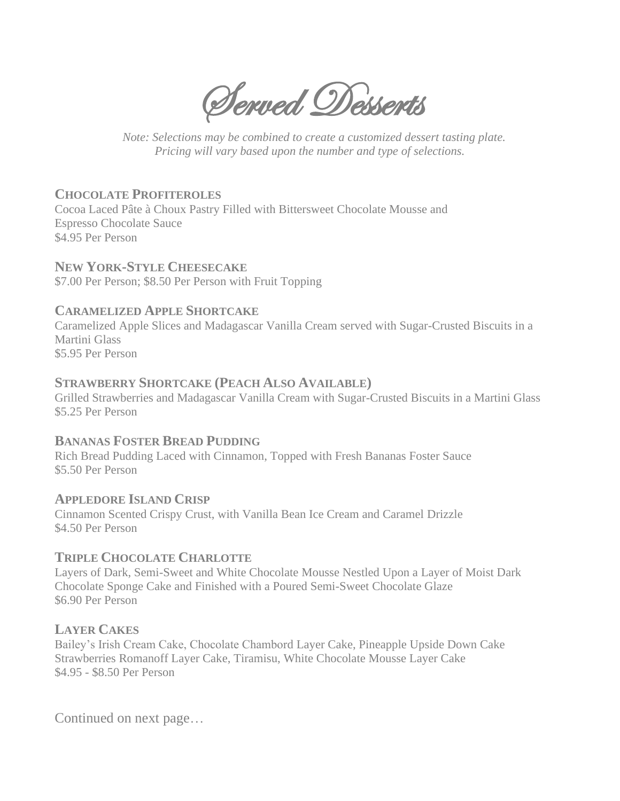Served Desserts

 *Note: Selections may be combined to create a customized dessert tasting plate. Pricing will vary based upon the number and type of selections.*

# **CHOCOLATE PROFITEROLES**

Cocoa Laced Pâte à Choux Pastry Filled with Bittersweet Chocolate Mousse and Espresso Chocolate Sauce \$4.95 Per Person

## **NEW YORK-STYLE CHEESECAKE**

\$7.00 Per Person; \$8.50 Per Person with Fruit Topping

## **CARAMELIZED APPLE SHORTCAKE**

Caramelized Apple Slices and Madagascar Vanilla Cream served with Sugar-Crusted Biscuits in a Martini Glass \$5.95 Per Person

## **STRAWBERRY SHORTCAKE (PEACH ALSO AVAILABLE)**

Grilled Strawberries and Madagascar Vanilla Cream with Sugar-Crusted Biscuits in a Martini Glass \$5.25 Per Person

### **BANANAS FOSTER BREAD PUDDING**

Rich Bread Pudding Laced with Cinnamon, Topped with Fresh Bananas Foster Sauce \$5.50 Per Person

# **APPLEDORE ISLAND CRISP**

Cinnamon Scented Crispy Crust, with Vanilla Bean Ice Cream and Caramel Drizzle \$4.50 Per Person

# **TRIPLE CHOCOLATE CHARLOTTE**

Layers of Dark, Semi-Sweet and White Chocolate Mousse Nestled Upon a Layer of Moist Dark Chocolate Sponge Cake and Finished with a Poured Semi-Sweet Chocolate Glaze \$6.90 Per Person

# **LAYER CAKES**

Bailey's Irish Cream Cake, Chocolate Chambord Layer Cake, Pineapple Upside Down Cake Strawberries Romanoff Layer Cake, Tiramisu, White Chocolate Mousse Layer Cake \$4.95 - \$8.50 Per Person